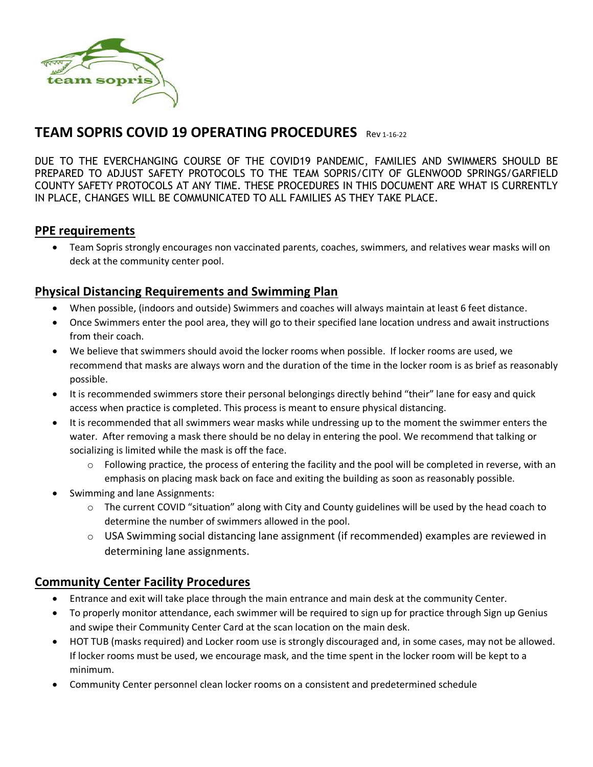

# **TEAM SOPRIS COVID 19 OPERATING PROCEDURES** Rev 1-16-22

DUE TO THE EVERCHANGING COURSE OF THE COVID19 PANDEMIC, FAMILIES AND SWIMMERS SHOULD BE PREPARED TO ADJUST SAFETY PROTOCOLS TO THE TEAM SOPRIS/CITY OF GLENWOOD SPRINGS/GARFIELD COUNTY SAFETY PROTOCOLS AT ANY TIME. THESE PROCEDURES IN THIS DOCUMENT ARE WHAT IS CURRENTLY IN PLACE, CHANGES WILL BE COMMUNICATED TO ALL FAMILIES AS THEY TAKE PLACE.

#### **PPE requirements**

• Team Sopris strongly encourages non vaccinated parents, coaches, swimmers, and relatives wear masks will on deck at the community center pool.

### **Physical Distancing Requirements and Swimming Plan**

- When possible, (indoors and outside) Swimmers and coaches will always maintain at least 6 feet distance.
- Once Swimmers enter the pool area, they will go to their specified lane location undress and await instructions from their coach.
- We believe that swimmers should avoid the locker rooms when possible. If locker rooms are used, we recommend that masks are always worn and the duration of the time in the locker room is as brief as reasonably possible.
- It is recommended swimmers store their personal belongings directly behind "their" lane for easy and quick access when practice is completed. This process is meant to ensure physical distancing.
- It is recommended that all swimmers wear masks while undressing up to the moment the swimmer enters the water. After removing a mask there should be no delay in entering the pool. We recommend that talking or socializing is limited while the mask is off the face.
	- $\circ$  Following practice, the process of entering the facility and the pool will be completed in reverse, with an emphasis on placing mask back on face and exiting the building as soon as reasonably possible.
- Swimming and lane Assignments:
	- $\circ$  The current COVID "situation" along with City and County guidelines will be used by the head coach to determine the number of swimmers allowed in the pool.
	- $\circ$  USA Swimming social distancing lane assignment (if recommended) examples are reviewed in determining lane assignments.

## **Community Center Facility Procedures**

- Entrance and exit will take place through the main entrance and main desk at the community Center.
- To properly monitor attendance, each swimmer will be required to sign up for practice through Sign up Genius and swipe their Community Center Card at the scan location on the main desk.
- HOT TUB (masks required) and Locker room use is strongly discouraged and, in some cases, may not be allowed. If locker rooms must be used, we encourage mask, and the time spent in the locker room will be kept to a minimum.
- Community Center personnel clean locker rooms on a consistent and predetermined schedule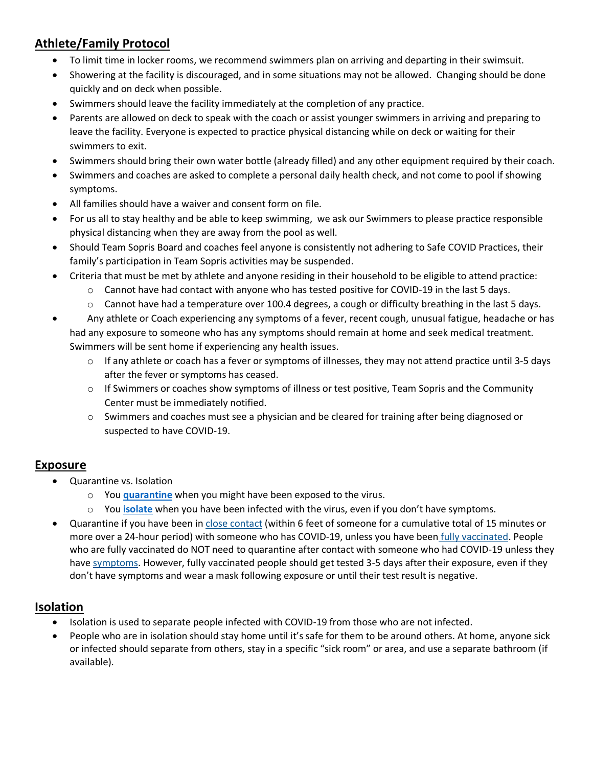# **Athlete/Family Protocol**

- To limit time in locker rooms, we recommend swimmers plan on arriving and departing in their swimsuit.
- Showering at the facility is discouraged, and in some situations may not be allowed. Changing should be done quickly and on deck when possible.
- Swimmers should leave the facility immediately at the completion of any practice.
- Parents are allowed on deck to speak with the coach or assist younger swimmers in arriving and preparing to leave the facility. Everyone is expected to practice physical distancing while on deck or waiting for their swimmers to exit.
- Swimmers should bring their own water bottle (already filled) and any other equipment required by their coach.
- Swimmers and coaches are asked to complete a personal daily health check, and not come to pool if showing symptoms.
- All families should have a waiver and consent form on file.
- For us all to stay healthy and be able to keep swimming, we ask our Swimmers to please practice responsible physical distancing when they are away from the pool as well.
- Should Team Sopris Board and coaches feel anyone is consistently not adhering to Safe COVID Practices, their family's participation in Team Sopris activities may be suspended.
- Criteria that must be met by athlete and anyone residing in their household to be eligible to attend practice:
	- $\circ$  Cannot have had contact with anyone who has tested positive for COVID-19 in the last 5 days.
	- $\circ$  Cannot have had a temperature over 100.4 degrees, a cough or difficulty breathing in the last 5 days.
- Any athlete or Coach experiencing any symptoms of a fever, recent cough, unusual fatigue, headache or has had any exposure to someone who has any symptoms should remain at home and seek medical treatment. Swimmers will be sent home if experiencing any health issues.
	- $\circ$  If any athlete or coach has a fever or symptoms of illnesses, they may not attend practice until 3-5 days after the fever or symptoms has ceased.
	- $\circ$  If Swimmers or coaches show symptoms of illness or test positive, Team Sopris and the Community Center must be immediately notified.
	- o Swimmers and coaches must see a physician and be cleared for training after being diagnosed or suspected to have COVID-19.

### **Exposure**

- Quarantine vs. Isolation
	- o You **[quarantine](https://www.cdc.gov/coronavirus/2019-ncov/your-health/quarantine-isolation.html#quarantine)** when you might have been exposed to the virus.
	- o You **[isolate](https://www.cdc.gov/coronavirus/2019-ncov/your-health/quarantine-isolation.html#isolation)** when you have been infected with the virus, even if you don't have symptoms.
- Quarantine if you have been in [close contact](https://www.cdc.gov/coronavirus/2019-ncov/php/contact-tracing/contact-tracing-plan/appendix.html#contact) (within 6 feet of someone for a cumulative total of 15 minutes or more over a 24-hour period) with someone who has COVID-19, unless you have been *fully vaccinated*. People who are fully vaccinated do NOT need to quarantine after contact with someone who had COVID-19 unless they have [symptoms.](https://www.cdc.gov/coronavirus/2019-ncov/symptoms-testing/symptoms.html) However, fully vaccinated people should get tested 3-5 days after their exposure, even if they don't have symptoms and wear a mask following exposure or until their test result is negative.

### **Isolation**

- Isolation is used to separate people infected with COVID-19 from those who are not infected.
- People who are in isolation should stay home until it's safe for them to be around others. At home, anyone sick or infected should separate from others, stay in a specific "sick room" or area, and use a separate bathroom (if available).